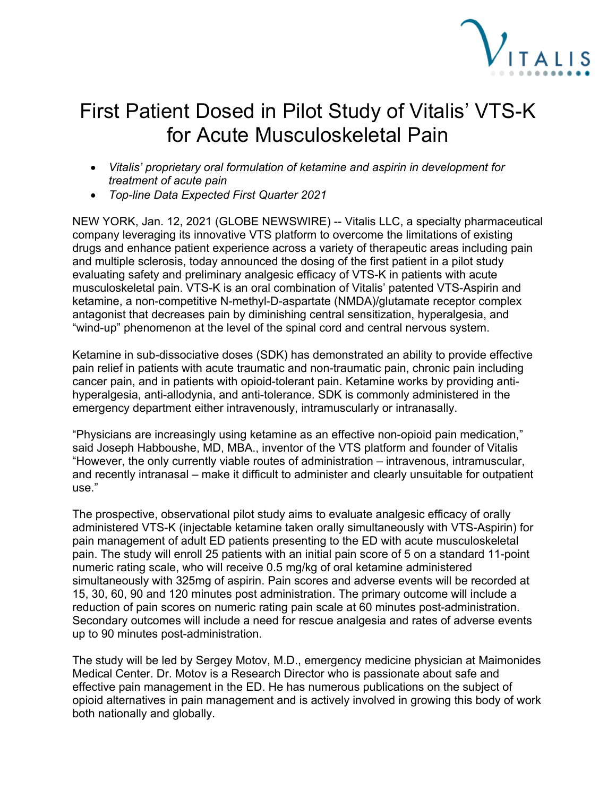

## First Patient Dosed in Pilot Study of Vitalis' VTS-K for Acute Musculoskeletal Pain

- *Vitalis' proprietary oral formulation of ketamine and aspirin in development for treatment of acute pain*
- *Top-line Data Expected First Quarter 2021*

NEW YORK, Jan. 12, 2021 (GLOBE NEWSWIRE) -- Vitalis LLC, a specialty pharmaceutical company leveraging its innovative VTS platform to overcome the limitations of existing drugs and enhance patient experience across a variety of therapeutic areas including pain and multiple sclerosis, today announced the dosing of the first patient in a pilot study evaluating safety and preliminary analgesic efficacy of VTS-K in patients with acute musculoskeletal pain. VTS-K is an oral combination of Vitalis' patented VTS-Aspirin and ketamine, a non-competitive N-methyl-D-aspartate (NMDA)/glutamate receptor complex antagonist that decreases pain by diminishing central sensitization, hyperalgesia, and "wind-up" phenomenon at the level of the spinal cord and central nervous system.

Ketamine in sub-dissociative doses (SDK) has demonstrated an ability to provide effective pain relief in patients with acute traumatic and non-traumatic pain, chronic pain including cancer pain, and in patients with opioid-tolerant pain. Ketamine works by providing antihyperalgesia, anti-allodynia, and anti-tolerance. SDK is commonly administered in the emergency department either intravenously, intramuscularly or intranasally.

"Physicians are increasingly using ketamine as an effective non-opioid pain medication," said Joseph Habboushe, MD, MBA., inventor of the VTS platform and founder of Vitalis "However, the only currently viable routes of administration – intravenous, intramuscular, and recently intranasal – make it difficult to administer and clearly unsuitable for outpatient use."

The prospective, observational pilot study aims to evaluate analgesic efficacy of orally administered VTS-K (injectable ketamine taken orally simultaneously with VTS-Aspirin) for pain management of adult ED patients presenting to the ED with acute musculoskeletal pain. The study will enroll 25 patients with an initial pain score of 5 on a standard 11-point numeric rating scale, who will receive 0.5 mg/kg of oral ketamine administered simultaneously with 325mg of aspirin. Pain scores and adverse events will be recorded at 15, 30, 60, 90 and 120 minutes post administration. The primary outcome will include a reduction of pain scores on numeric rating pain scale at 60 minutes post-administration. Secondary outcomes will include a need for rescue analgesia and rates of adverse events up to 90 minutes post-administration.

The study will be led by Sergey Motov, M.D., emergency medicine physician at Maimonides Medical Center. Dr. Motov is a Research Director who is passionate about safe and effective pain management in the ED. He has numerous publications on the subject of opioid alternatives in pain management and is actively involved in growing this body of work both nationally and globally.